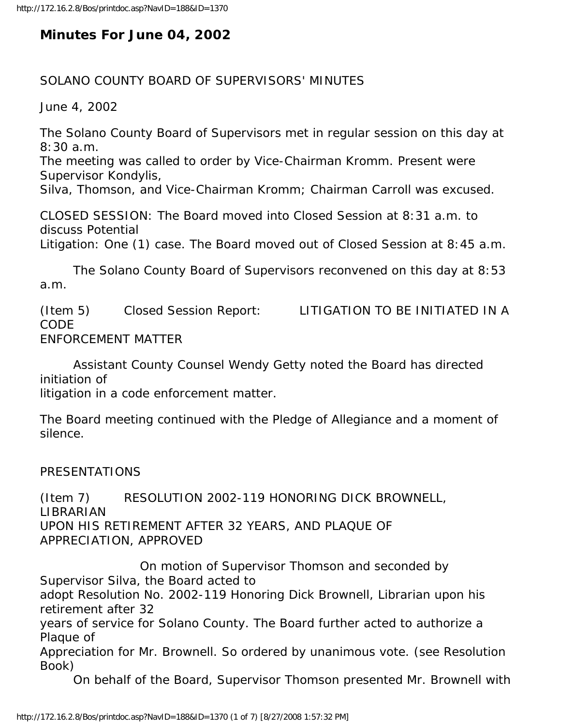# **Minutes For June 04, 2002**

## SOLANO COUNTY BOARD OF SUPERVISORS' MINUTES

June 4, 2002

The Solano County Board of Supervisors met in regular session on this day at 8:30 a.m.

The meeting was called to order by Vice-Chairman Kromm. Present were Supervisor Kondylis,

Silva, Thomson, and Vice-Chairman Kromm; Chairman Carroll was excused.

CLOSED SESSION: The Board moved into Closed Session at 8:31 a.m. to discuss Potential

Litigation: One (1) case. The Board moved out of Closed Session at 8:45 a.m.

 The Solano County Board of Supervisors reconvened on this day at 8:53 a.m.

(Item 5) Closed Session Report: LITIGATION TO BE INITIATED IN A CODE ENFORCEMENT MATTER

 Assistant County Counsel Wendy Getty noted the Board has directed initiation of

litigation in a code enforcement matter.

The Board meeting continued with the Pledge of Allegiance and a moment of silence.

PRESENTATIONS

(Item 7) RESOLUTION 2002-119 HONORING DICK BROWNELL, LIBRARIAN UPON HIS RETIREMENT AFTER 32 YEARS, AND PLAQUE OF APPRECIATION, APPROVED

 On motion of Supervisor Thomson and seconded by Supervisor Silva, the Board acted to adopt Resolution No. 2002-119 Honoring Dick Brownell, Librarian upon his retirement after 32 years of service for Solano County. The Board further acted to authorize a Plaque of Appreciation for Mr. Brownell. So ordered by unanimous vote. (see Resolution Book) On behalf of the Board, Supervisor Thomson presented Mr. Brownell with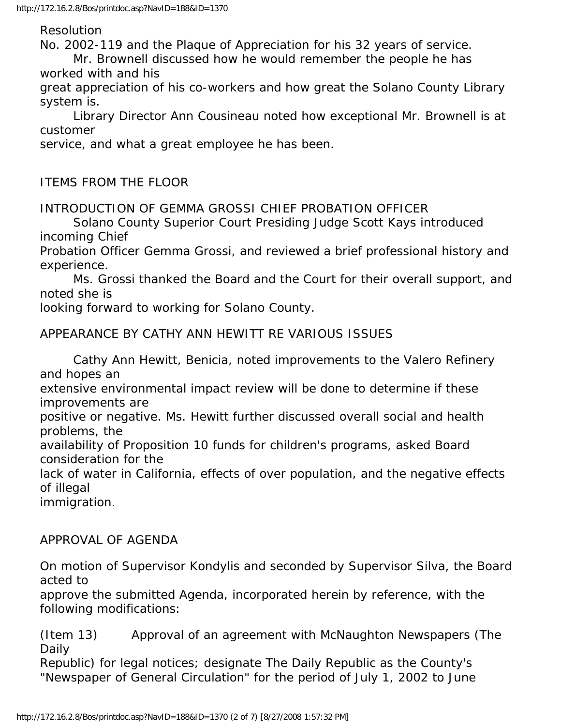Resolution

No. 2002-119 and the Plaque of Appreciation for his 32 years of service. Mr. Brownell discussed how he would remember the people he has

worked with and his

great appreciation of his co-workers and how great the Solano County Library system is.

 Library Director Ann Cousineau noted how exceptional Mr. Brownell is at customer

service, and what a great employee he has been.

ITEMS FROM THE FLOOR

INTRODUCTION OF GEMMA GROSSI CHIEF PROBATION OFFICER

 Solano County Superior Court Presiding Judge Scott Kays introduced incoming Chief

Probation Officer Gemma Grossi, and reviewed a brief professional history and experience.

 Ms. Grossi thanked the Board and the Court for their overall support, and noted she is

looking forward to working for Solano County.

## APPEARANCE BY CATHY ANN HEWITT RE VARIOUS ISSUES

 Cathy Ann Hewitt, Benicia, noted improvements to the Valero Refinery and hopes an

extensive environmental impact review will be done to determine if these improvements are

positive or negative. Ms. Hewitt further discussed overall social and health problems, the

availability of Proposition 10 funds for children's programs, asked Board consideration for the

lack of water in California, effects of over population, and the negative effects of illegal

immigration.

APPROVAL OF AGENDA

On motion of Supervisor Kondylis and seconded by Supervisor Silva, the Board acted to

approve the submitted Agenda, incorporated herein by reference, with the following modifications:

(Item 13) Approval of an agreement with McNaughton Newspapers (The Daily

Republic) for legal notices; designate The Daily Republic as the County's "Newspaper of General Circulation" for the period of July 1, 2002 to June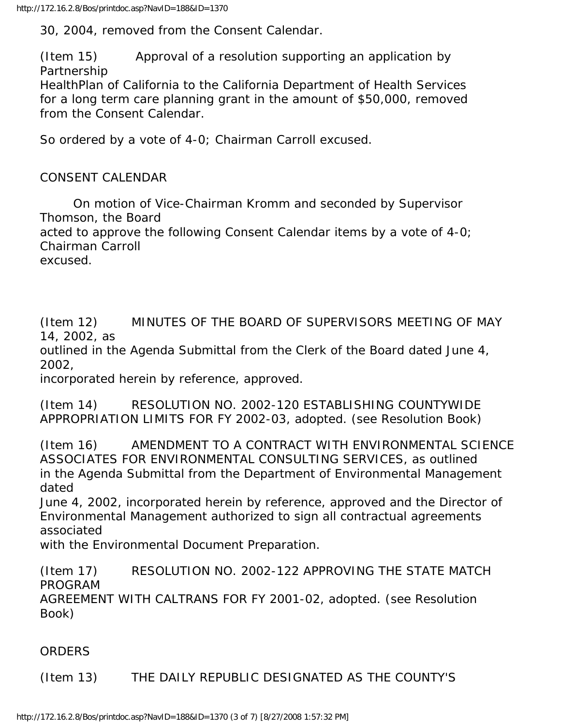30, 2004, removed from the Consent Calendar.

(Item 15) Approval of a resolution supporting an application by Partnership

HealthPlan of California to the California Department of Health Services for a long term care planning grant in the amount of \$50,000, removed from the Consent Calendar.

So ordered by a vote of 4-0; Chairman Carroll excused.

### CONSENT CALENDAR

 On motion of Vice-Chairman Kromm and seconded by Supervisor Thomson, the Board acted to approve the following Consent Calendar items by a vote of 4-0; Chairman Carroll excused.

(Item 12) MINUTES OF THE BOARD OF SUPERVISORS MEETING OF MAY 14, 2002, as

outlined in the Agenda Submittal from the Clerk of the Board dated June 4, 2002,

incorporated herein by reference, approved.

(Item 14) RESOLUTION NO. 2002-120 ESTABLISHING COUNTYWIDE APPROPRIATION LIMITS FOR FY 2002-03, adopted. (see Resolution Book)

(Item 16) AMENDMENT TO A CONTRACT WITH ENVIRONMENTAL SCIENCE ASSOCIATES FOR ENVIRONMENTAL CONSULTING SERVICES, as outlined in the Agenda Submittal from the Department of Environmental Management dated

June 4, 2002, incorporated herein by reference, approved and the Director of Environmental Management authorized to sign all contractual agreements associated

with the Environmental Document Preparation.

(Item 17) RESOLUTION NO. 2002-122 APPROVING THE STATE MATCH PROGRAM

AGREEMENT WITH CALTRANS FOR FY 2001-02, adopted. (see Resolution Book)

ORDERS

(Item 13) THE DAILY REPUBLIC DESIGNATED AS THE COUNTY'S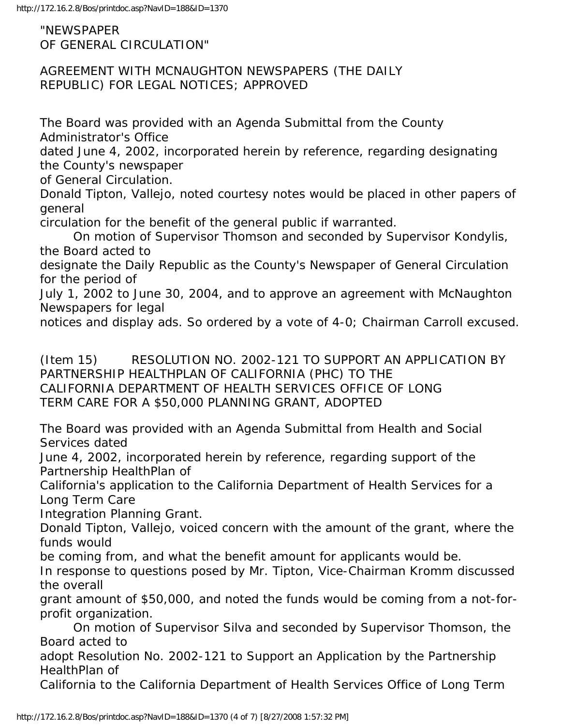"NEWSPAPER OF GENERAL CIRCULATION"

### AGREEMENT WITH MCNAUGHTON NEWSPAPERS (THE DAILY REPUBLIC) FOR LEGAL NOTICES; APPROVED

The Board was provided with an Agenda Submittal from the County Administrator's Office

dated June 4, 2002, incorporated herein by reference, regarding designating the County's newspaper

of General Circulation.

Donald Tipton, Vallejo, noted courtesy notes would be placed in other papers of general

circulation for the benefit of the general public if warranted.

 On motion of Supervisor Thomson and seconded by Supervisor Kondylis, the Board acted to

designate the Daily Republic as the County's Newspaper of General Circulation for the period of

July 1, 2002 to June 30, 2004, and to approve an agreement with McNaughton Newspapers for legal

notices and display ads. So ordered by a vote of 4-0; Chairman Carroll excused.

(Item 15) RESOLUTION NO. 2002-121 TO SUPPORT AN APPLICATION BY PARTNERSHIP HEALTHPLAN OF CALIFORNIA (PHC) TO THE CALIFORNIA DEPARTMENT OF HEALTH SERVICES OFFICE OF LONG TERM CARE FOR A \$50,000 PLANNING GRANT, ADOPTED

The Board was provided with an Agenda Submittal from Health and Social Services dated

June 4, 2002, incorporated herein by reference, regarding support of the Partnership HealthPlan of

California's application to the California Department of Health Services for a Long Term Care

Integration Planning Grant.

Donald Tipton, Vallejo, voiced concern with the amount of the grant, where the funds would

be coming from, and what the benefit amount for applicants would be.

In response to questions posed by Mr. Tipton, Vice-Chairman Kromm discussed the overall

grant amount of \$50,000, and noted the funds would be coming from a not-forprofit organization.

 On motion of Supervisor Silva and seconded by Supervisor Thomson, the Board acted to

adopt Resolution No. 2002-121 to Support an Application by the Partnership HealthPlan of

California to the California Department of Health Services Office of Long Term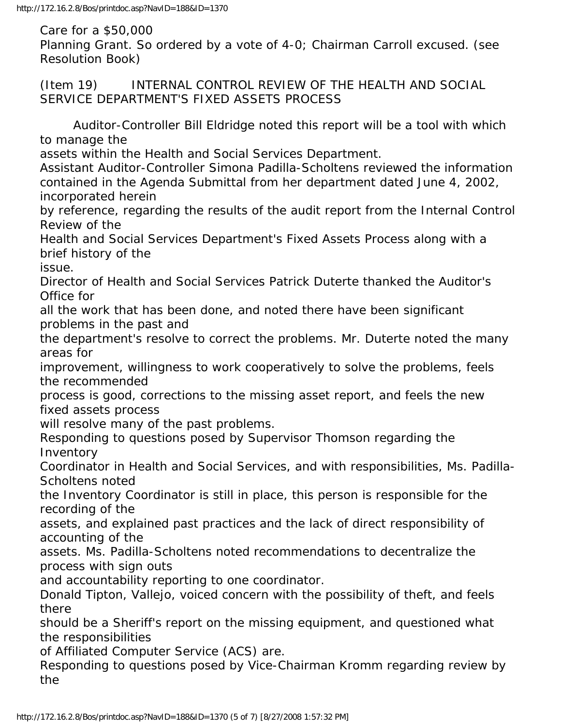Care for a \$50,000

Planning Grant. So ordered by a vote of 4-0; Chairman Carroll excused. (see Resolution Book)

(Item 19) INTERNAL CONTROL REVIEW OF THE HEALTH AND SOCIAL SERVICE DEPARTMENT'S FIXED ASSETS PROCESS

 Auditor-Controller Bill Eldridge noted this report will be a tool with which to manage the

assets within the Health and Social Services Department.

Assistant Auditor-Controller Simona Padilla-Scholtens reviewed the information contained in the Agenda Submittal from her department dated June 4, 2002, incorporated herein

by reference, regarding the results of the audit report from the Internal Control Review of the

Health and Social Services Department's Fixed Assets Process along with a brief history of the

issue.

Director of Health and Social Services Patrick Duterte thanked the Auditor's Office for

all the work that has been done, and noted there have been significant problems in the past and

the department's resolve to correct the problems. Mr. Duterte noted the many areas for

improvement, willingness to work cooperatively to solve the problems, feels the recommended

process is good, corrections to the missing asset report, and feels the new fixed assets process

will resolve many of the past problems.

Responding to questions posed by Supervisor Thomson regarding the Inventory

Coordinator in Health and Social Services, and with responsibilities, Ms. Padilla-Scholtens noted

the Inventory Coordinator is still in place, this person is responsible for the recording of the

assets, and explained past practices and the lack of direct responsibility of accounting of the

assets. Ms. Padilla-Scholtens noted recommendations to decentralize the process with sign outs

and accountability reporting to one coordinator.

Donald Tipton, Vallejo, voiced concern with the possibility of theft, and feels there

should be a Sheriff's report on the missing equipment, and questioned what the responsibilities

of Affiliated Computer Service (ACS) are.

Responding to questions posed by Vice-Chairman Kromm regarding review by the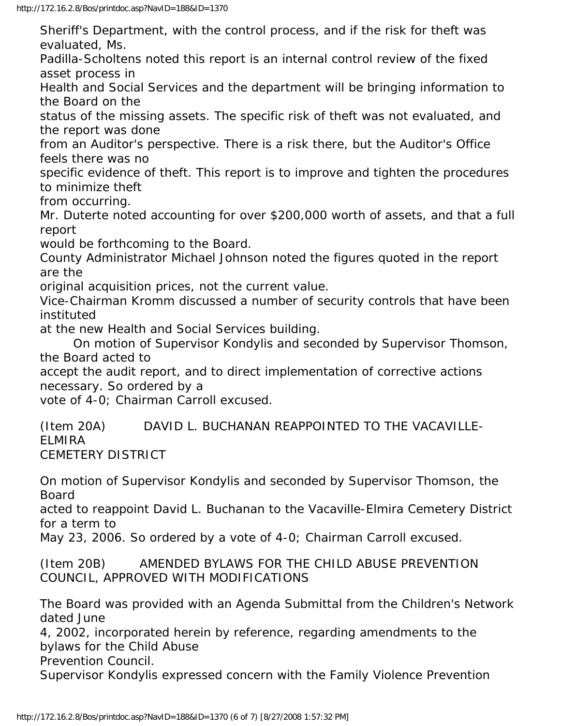Sheriff's Department, with the control process, and if the risk for theft was evaluated, Ms.

Padilla-Scholtens noted this report is an internal control review of the fixed asset process in

Health and Social Services and the department will be bringing information to the Board on the

status of the missing assets. The specific risk of theft was not evaluated, and the report was done

from an Auditor's perspective. There is a risk there, but the Auditor's Office feels there was no

specific evidence of theft. This report is to improve and tighten the procedures to minimize theft

from occurring.

Mr. Duterte noted accounting for over \$200,000 worth of assets, and that a full report

would be forthcoming to the Board.

County Administrator Michael Johnson noted the figures quoted in the report are the

original acquisition prices, not the current value.

Vice-Chairman Kromm discussed a number of security controls that have been instituted

at the new Health and Social Services building.

 On motion of Supervisor Kondylis and seconded by Supervisor Thomson, the Board acted to

accept the audit report, and to direct implementation of corrective actions necessary. So ordered by a

vote of 4-0; Chairman Carroll excused.

(Item 20A) DAVID L. BUCHANAN REAPPOINTED TO THE VACAVILLE-ELMIRA CEMETERY DISTRICT

On motion of Supervisor Kondylis and seconded by Supervisor Thomson, the Board

acted to reappoint David L. Buchanan to the Vacaville-Elmira Cemetery District for a term to

May 23, 2006. So ordered by a vote of 4-0; Chairman Carroll excused.

(Item 20B) AMENDED BYLAWS FOR THE CHILD ABUSE PREVENTION COUNCIL, APPROVED WITH MODIFICATIONS

The Board was provided with an Agenda Submittal from the Children's Network dated June

4, 2002, incorporated herein by reference, regarding amendments to the bylaws for the Child Abuse

Prevention Council.

Supervisor Kondylis expressed concern with the Family Violence Prevention